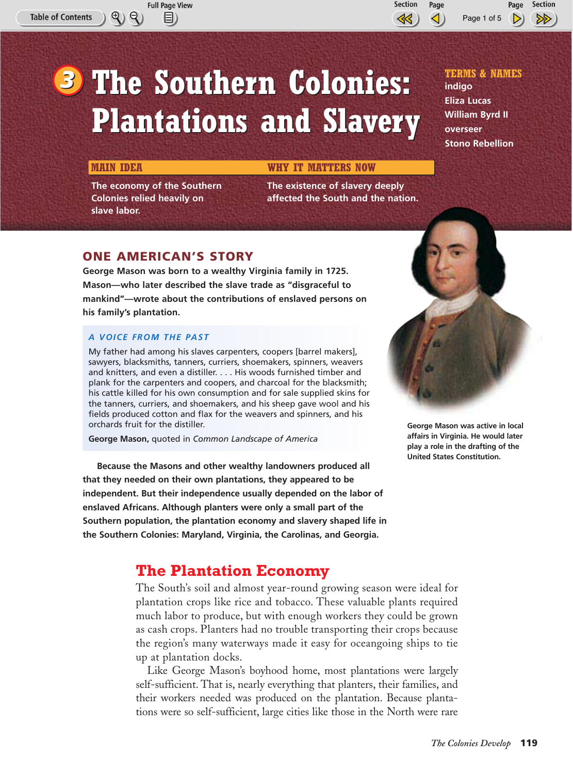

**Section** 

### **TERMS & NAMES indigo Eliza Lucas William Byrd II overseer Stono Rebellion**

#### **MAIN IDEA WHY IT MATTERS NOW**

**The economy of the Southern Colonies relied heavily on slave labor.**

**The existence of slavery deeply affected the South and the nation.**

### ONE AMERICAN'S STORY

**Full Page View** 

 $\equiv$ 

୧

**George Mason was born to a wealthy Virginia family in 1725. Mason—who later described the slave trade as "disgraceful to mankind"—wrote about the contributions of enslaved persons on his family's plantation.**

*3* **The Southern Colonies: The Southern Colonies:**

**Plantations and Slavery Plantations and Slavery**

### *A VOICE FROM THE PAST*

My father had among his slaves carpenters, coopers [barrel makers], sawyers, blacksmiths, tanners, curriers, shoemakers, spinners, weavers and knitters, and even a distiller. . . . His woods furnished timber and plank for the carpenters and coopers, and charcoal for the blacksmith; his cattle killed for his own consumption and for sale supplied skins for the tanners, curriers, and shoemakers, and his sheep gave wool and his fields produced cotton and flax for the weavers and spinners, and his orchards fruit for the distiller.

**George Mason,** quoted in *Common Landscape of America*

**Because the Masons and other wealthy landowners produced all that they needed on their own plantations, they appeared to be independent. But their independence usually depended on the labor of enslaved Africans. Although planters were only a small part of the Southern population, the plantation economy and slavery shaped life in the Southern Colonies: Maryland, Virginia, the Carolinas, and Georgia.**



**George Mason was active in local affairs in Virginia. He would later play a role in the drafting of the United States Constitution.**

# **The Plantation Economy**

The South's soil and almost year-round growing season were ideal for plantation crops like rice and tobacco. These valuable plants required much labor to produce, but with enough workers they could be grown as cash crops. Planters had no trouble transporting their crops because the region's many waterways made it easy for oceangoing ships to tie up at plantation docks.

Like George Mason's boyhood home, most plantations were largely self-sufficient. That is, nearly everything that planters, their families, and their workers needed was produced on the plantation. Because plantations were so self-sufficient, large cities like those in the North were rare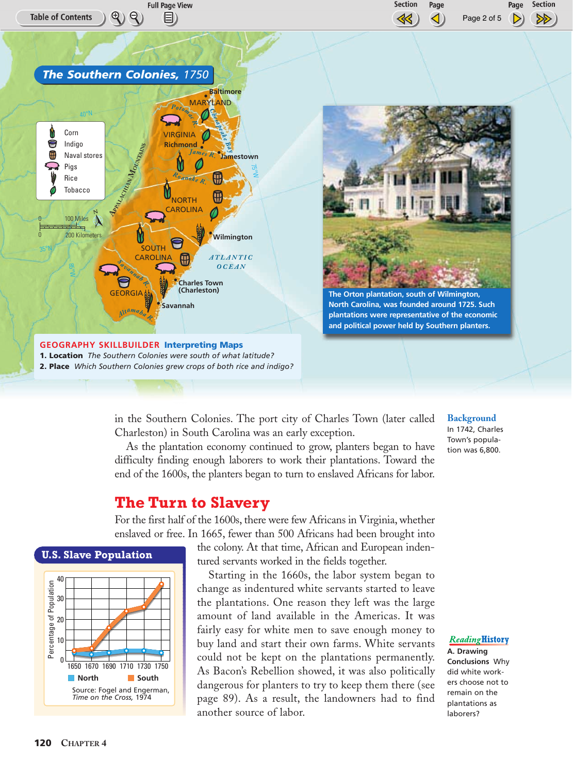

**North Carolina, was founded around 1725. Such plantations were representative of the economic and political power held by Southern planters.**

**GEOGRAPHY SKILLBUILDER** Interpreting Maps 1. Location *The Southern Colonies were south of what latitude?* 2. Place *Which Southern Colonies grew crops of both rice and indigo?*

**Savannah**

*<sup>A</sup>ltamah<sup>a</sup> <sup>R</sup>.*

in the Southern Colonies. The port city of Charles Town (later called Charleston) in South Carolina was an early exception.

As the plantation economy continued to grow, planters began to have difficulty finding enough laborers to work their plantations. Toward the end of the 1600s, the planters began to turn to enslaved Africans for labor.

# **The Turn to Slavery**

For the first half of the 1600s, there were few Africans in Virginia, whether enslaved or free. In 1665, fewer than 500 Africans had been brought into



Starting in the 1660s, the labor system began to change as indentured white servants started to leave the plantations. One reason they left was the large amount of land available in the Americas. It was fairly easy for white men to save enough money to buy land and start their own farms. White servants could not be kept on the plantations permanently. As Bacon's Rebellion showed, it was also politically dangerous for planters to try to keep them there (see page 89). As a result, the landowners had to find another source of labor.

#### **Background** In 1742, Charles Town's population was 6,800.

**Section** 

### Reading History

**A. Drawing Conclusions** Why did white workers choose not to remain on the plantations as laborers?

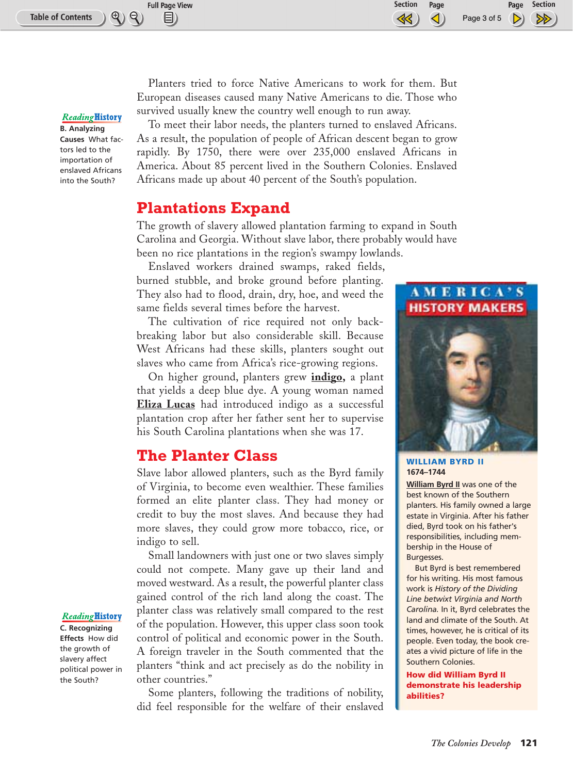**B. Analyzing Causes** What factors led to the importation of enslaved Africans into the South?

**Reading History** 

Planters tried to force Native Americans to work for them. But European diseases caused many Native Americans to die. Those who survived usually knew the country well enough to run away.

To meet their labor needs, the planters turned to enslaved Africans. As a result, the population of people of African descent began to grow rapidly. By 1750, there were over 235,000 enslaved Africans in America. About 85 percent lived in the Southern Colonies. Enslaved Africans made up about 40 percent of the South's population.

# **Plantations Expand**

**Full Page View** 

 $\textcircled{\scriptsize{1}}$ 

 $\left( \mathsf{Q} \right)$ 

The growth of slavery allowed plantation farming to expand in South Carolina and Georgia. Without slave labor, there probably would have been no rice plantations in the region's swampy lowlands.

Enslaved workers drained swamps, raked fields, burned stubble, and broke ground before planting. They also had to flood, drain, dry, hoe, and weed the same fields several times before the harvest.

The cultivation of rice required not only backbreaking labor but also considerable skill. Because West Africans had these skills, planters sought out slaves who came from Africa's rice-growing regions.

On higher ground, planters grew **indigo,** a plant that yields a deep blue dye. A young woman named **Eliza Lucas** had introduced indigo as a successful plantation crop after her father sent her to supervise his South Carolina plantations when she was 17.

# **The Planter Class**

Slave labor allowed planters, such as the Byrd family of Virginia, to become even wealthier. These families formed an elite planter class. They had money or credit to buy the most slaves. And because they had more slaves, they could grow more tobacco, rice, or indigo to sell.

Small landowners with just one or two slaves simply could not compete. Many gave up their land and moved westward. As a result, the powerful planter class gained control of the rich land along the coast. The planter class was relatively small compared to the rest of the population. However, this upper class soon took control of political and economic power in the South. A foreign traveler in the South commented that the planters "think and act precisely as do the nobility in other countries."

Some planters, following the traditions of nobility, did feel responsible for the welfare of their enslaved



#### WILLIAM BYRD II **1674–1744**

**William Byrd II** was one of the best known of the Southern planters. His family owned a large estate in Virginia. After his father died, Byrd took on his father's responsibilities, including membership in the House of Burgesses.

But Byrd is best remembered for his writing. His most famous work is *History of the Dividing Line betwixt Virginia and North Carolina.* In it, Byrd celebrates the land and climate of the South. At times, however, he is critical of its people. Even today, the book creates a vivid picture of life in the Southern Colonies.

How did William Byrd II demonstrate his leadership abilities?

**Reading History** 

**C. Recognizing Effects** How did the growth of slavery affect political power in the South?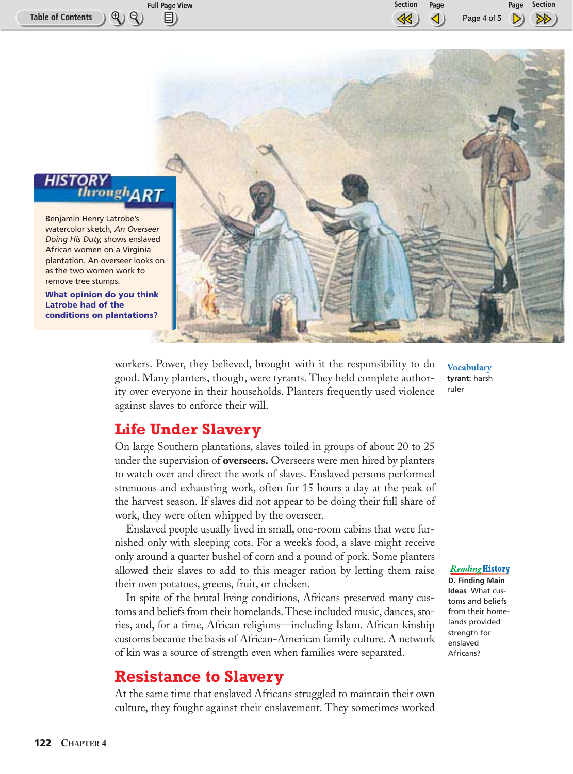**Full Page View** 

 $\textcircled{\scriptsize{1}}$ 



workers. Power, they believed, brought with it the responsibility to do good. Many planters, though, were tyrants. They held complete authority over everyone in their households. Planters frequently used violence against slaves to enforce their will.

**Vocabulary tyrant:** harsh ruler

# **Life Under Slavery**

On large Southern plantations, slaves toiled in groups of about 20 to 25 under the supervision of **overseers.** Overseers were men hired by planters to watch over and direct the work of slaves. Enslaved persons performed strenuous and exhausting work, often for 15 hours a day at the peak of the harvest season. If slaves did not appear to be doing their full share of work, they were often whipped by the overseer.

Enslaved people usually lived in small, one-room cabins that were furnished only with sleeping cots. For a week's food, a slave might receive only around a quarter bushel of corn and a pound of pork. Some planters allowed their slaves to add to this meager ration by letting them raise their own potatoes, greens, fruit, or chicken.

In spite of the brutal living conditions, Africans preserved many customs and beliefs from their homelands.These included music, dances, stories, and, for a time, African religions—including Islam. African kinship customs became the basis of African-American family culture. A network of kin was a source of strength even when families were separated.

# **Resistance to Slavery**

At the same time that enslaved Africans struggled to maintain their own culture, they fought against their enslavement. They sometimes worked **Reading History** 

**D. Finding Main Ideas** What customs and beliefs from their homelands provided strength for enslaved Africans?